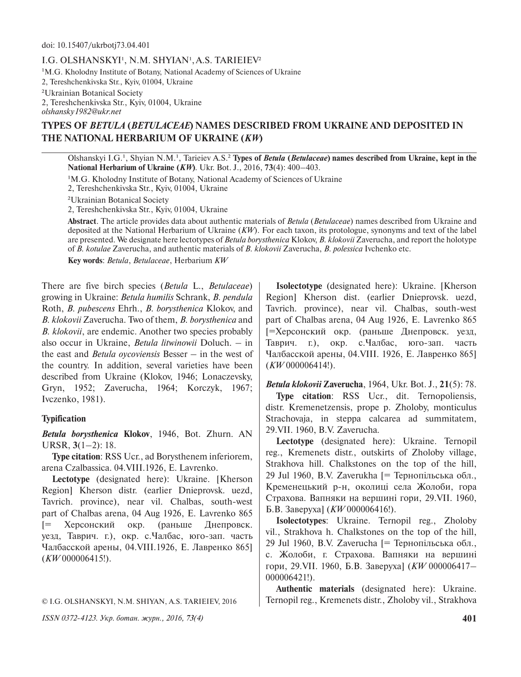## I.G. OLSHANSKYI<sup>1</sup>, N.M. SHYIAN<sup>1</sup>, A.S. TARIEIEV<sup>2</sup>

<sup>1</sup>M.G. Kholodny Institute of Botany, National Academy of Sciences of Ukraine

2, Tereshchenkivska Str., Kyiv, 01004, Ukraine

²Ukrainian Botanical Society

2, Tereshchenkivska Str., Kyiv, 01004, Ukraine *olshansky1982@ukr.net*

# **TYPES OF** *BETULA* **(***BETULACEAE***) NAMES DESCRIBED FROM UKRAINE AND DEPOSITED IN THE NATIONAL HERBARIUM OF UKRAINE (***KW***)**

Olshanskyi I.G.<sup>1</sup>, Shyian N.M.<sup>1</sup>, Tarieiev A.S.<sup>2</sup> Types of *Betula (Betulaceae)* names described from Ukraine, kept in the **National Herbarium of Ukraine (***KW***)**. Ukr. Bot. J., 2016, **73**(4): 400–403.

<sup>1</sup>M.G. Kholodny Institute of Botany, National Academy of Sciences of Ukraine

2, Tereshchenkivska Str., Kyiv, 01004, Ukraine

²Ukrainian Botanical Society

2, Tereshchenkivska Str., Kyiv, 01004, Ukraine

**Abstract**. The article provides data about authentic materials of *Betula* (*Betulaceae*) names described from Ukraine and deposited at the National Herbarium of Ukraine (*KW*). For each taxon, its protologue, synonyms and text of the label are presented. We designate here lectotypes of *Betula borysthenica* Klokov, *B. klokovii* Zaverucha, and report the holotype of *B. kotulae* Zaverucha, and authentic materials of *B. klokovii* Zaverucha, *B. polessica* Ivchenko etc.

**Key words**: *Betula*, *Betulaceae*, Herbarium *KW*

There are five birch species (*Betula* L., *Betulaceae*) growing in Ukraine: *Betula humilis* Schrank, *B. pendula*  Roth, *B. pubescens* Ehrh., *B. borysthenica* Klokov, and *B. klokovii* Zaverucha. Two of them, *B. borysthenica* and *B. klokovii*, are endemic. Another two species probably also occur in Ukraine, *Betula litwinowii* Doluch. – in the east and *Betula oycoviensis* Besser – in the west of the country. In addition, several varieties have been described from Ukraine (Klokov, 1946; Lonaczevsky, Gryn, 1952; Zaverucha, 1964; Korczyk, 1967; Ivczenko, 1981).

## **Typification**

*Betula borysthenica*  **Klokov**, 1946, Bot. Zhurn. AN URSR, **3**(1–2): 18.

**Type citation**: RSS Ucr., ad Borysthenem inferiorem, arena Czalbassica. 04.VIII.1926, E. Lavrenko.

**Lectotype** (designated here): Ukraine. [Kherson Region] Kherson distr. (earlier Dnieprovsk. uezd, Tavrich. province), near vil. Chalbas, south-west part of Chalbas arena, 04 Aug 1926, E. Lavrenko 865 [= Херсонский окр. (раньше Днепровск. уезд, Таврич. г.), окр. с.Чалбас, юго-зап. часть Чалбасской арены, 04.VIII.1926, Е. Лавренко 865] (*KW* 000006415!).

© I.G. OLSHANSKYI, N.M. SHIYAN, A.S. TARIEIEV, 2016

*ISSN 0372-4123. Укр. ботан. журн., 2016, 73(4)* **401**

**Isolectotype** (designated here): Ukraine. [Kherson Region] Kherson dist. (earlier Dnieprovsk. uezd, Tavrich. province), near vil. Chalbas, south-west part of Chalbas arena, 04 Aug 1926, E. Lavrenko 865 [=Херсонский окр. (раньше Днепровск. уезд, Таврич. г.), окр. с.Чалбас, юго-зап. часть Чалбасской арены, 04.VIII. 1926, Е. Лавренко 865] (*KW* 000006414!).

*Betula klokovii* **Zaverucha**, 1964, Ukr. Bot. J., **21**(5): 78. **Type citation**: RSS Ucr., dit. Ternopoliensis, distr. Kremenetzensis, prope p. Zholoby, monticulus Strachovaja, in steppa calcarea ad summitatem, 29.VII. 1960, B.V. Zaverucha*.*

**Lectotype** (designated here): Ukraine. Ternopil reg., Kremenets distr., outskirts of Zholoby village, Strakhova hill. Chalkstones on the top of the hill, 29 Jul 1960, B.V. Zaverukha [= Тернопільська обл., Кременецький р-н, околиці села Жолоби, гора Страхова. Вапняки на вершині гори, 29.VII. 1960, Б.В. Заверуха] (*KW* 000006416!).

**Isolectotypes**: Ukraine. Ternopil reg., Zholoby vil., Strakhova h. Chalkstones on the top of the hill, 29 Jul 1960, B.V. Zaverucha [= Тернопільська обл., с. Жолоби, г. Страхова. Вапняки на вершині гори, 29.VII. 1960, Б.В. Заверуха] (*KW* 000006417– 000006421!).

**Authentic materials** (designated here): Ukraine. Ternopil reg., Kremenets distr., Zholoby vil., Strakhova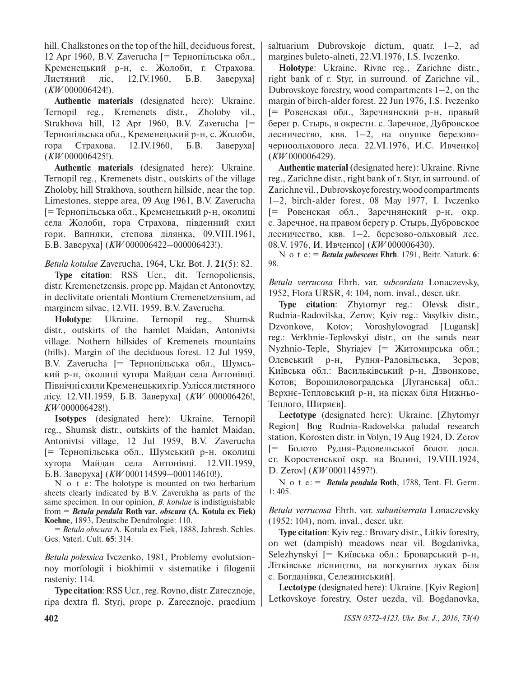hill. Chalkstones on the top of the hill, deciduous forest, 12 Apr 1960, B.V. Zaverucha [= Тернопільська обл., Кременецький р-н, с. Жолоби, г. Страхова. Листяний ліс, 12.IV.1960, Б.В. Заверуха] (*KW* 000006424!).

**Authentic materials** (designated here): Ukraine. Ternopil reg., Kremenets distr., Zholoby vil., Strakhova hill, 12 Apr 1960, B.V. Zaverucha [= Тернопільська обл., Кременецький р-н, с. Жолоби, гора Страхова. 12.IV.1960, Б.В. Заверуха] (*KW* 000006425!).

**Authentic materials** (designated here): Ukraine. Ternopil reg., Kremenets distr., outskirts of the village Zholoby, hill Strakhova, southern hillside, near the top. Limestones, steppe area, 09 Aug 1961, B.V. Zaverucha [= Тернопільська обл., Кременецький р-н, околиці села Жолоби, гора Страхова, південний схил гори. Вапняки, степова ділянка, 09.VIII.1961, Б.В. Заверуха] (*KW* 000006422–000006423!).

*Betula kotulae* Zaverucha, 1964, Ukr. Bot. J. **21**(5): 82.

**Type citation**: RSS Ucr., dit. Ternopoliensis, distr. Kremenetzensis, prope pp. Majdan et Antonovtzy, in declivitate orientali Montium Cremenetzensium, ad marginem silvae, 12.VII. 1959, B.V. Zaverucha*.*

**Holotype**: Ukraine. Ternopil reg., Shumsk distr., outskirts of the hamlet Maidan, Antonivtsi village. Nothern hillsides of Kremenets mountains (hills). Margin of the deciduous forest. 12 Jul 1959, B.V. Zaverucha [= Тернопільська обл., Шумський р-н, околиці хутора Майдан села Антонівці. Північні схили Кременецьких гір. Узлісся листяного лісу. 12.VII.1959, Б.В. Заверуха] (*KW* 000006426!, *KW* 000006428!).

**Isotypes** (designated here): Ukraine. Ternopil reg., Shumsk distr., outskirts of the hamlet Maidan, Antonivtsi village, 12 Jul 1959, B.V. Zaverucha [= Тернопільська обл., Шумський р-н, околиці хутора Майдан села Антонівці. 12.VII.1959, Б.В. Заверуха] (*KW* 000114599–000114610!).

N o t e: The holotype is mounted on two herbarium sheets clearly indicated by B.V. Zaverukha as parts of the same specimen. In our opinion, *B. kotulae* is indistiguishable from = *Betula pendula* **Roth var***. obscura* **(A. Kotula ex Fiek) Koehne**, 1893, Deutsche Dendrologie: 110.

= *Betula obscura* A. Kotula ex Fiek, 1888, Jahresb. Schles. Ges. Vaterl. Cult. **65**: 314.

*Betula polessica* Ivczenko, 1981, Problemy evolutsionnoy morfologii i biokhimii v sistematike i filogenii rasteniy: 114.

**Type citation**: RSS Ucr., reg.Rovno, distr.Zarecznoje, ripa dextra fl. Styrj, prope p. Zarecznoje, praedium saltuarium Dubrovskoje dictum, quatr. 1–2, ad margines buleto-alneti, 22.VI.1976, I.S. Ivczenko*.*

**Holotype**: Ukraine. Rivne reg., Zarichne distr., right bank of r. Styr, in surround. of Zarichne vil., Dubrovskoye forestry, wood compartments 1–2, on the margin of birch-alder forest. 22 Jun 1976, I.S. Ivczenko [= Ровенская обл., Заречнянский р-н, правый берег р. Стырь, в окрестн. с. Заречное, Дубровское лесничество, квв. 1–2, на опушке березовочерноольхового леса. 22.VI.1976, И.С. Ивченко] (*KW* 000006429).

**Authentic material** (designated here): Ukraine. Rivne reg., Zarichne distr., right bank of r. Styr, in surround. of Zarichne vil., Dubrovskoye forestry, wood compartments 1–2, birch-alder forest, 08 May 1977, I. Ivczenko [= Ровенская обл., Заречнянский р-н, окр. с. Заречное, на правом берегу р. Стырь, Дубровское лесничество, квв. 1–2, березово-ольховый лес. 08.V. 1976, И. Ивченко] (*KW* 000006430).

N o t e: = *Betula pubescens* **Ehrh**. 1791, Beitr. Naturk. **6**: 98.

*Betula verrucosa* Ehrh. var. *subcordata* Lonaczevsky, 1952, Flora URSR, 4: 104, nom. inval., descr. ukr.

**Type citation**: Zhytomyr reg.: Olevsk distr., Rudnia-Radovilska, Zerov; Kyiv reg.: Vasylkiv distr., Dzvonkove, Kotov; Voroshylovograd [Lugansk] reg.: Verkhnie-Teplovskyi distr., on the sands near Nyzhnio-Teple, Shyriajev [= Житомирська обл.; Олевський р-н, Рудня-Радовільська, Зеров; Київська обл.: Васильківський р-н, Дзвонкове, Котов; Ворошиловоградська [Луганська] обл.: Верхнє-Тепловський р-н, на пісках біля Нижньо-Теплого, Ширяєв].

**Lectotype** (designated here): Ukraine. [Zhytomyr Region] Bog Rudnia-Radovelska paludal research station, Korosten distr. in Volyn, 19 Aug 1924, D. Zerov [= Болото Рудня-Радовельської болот. досл. ст. Коростенської окр. на Волині, 19.VIII.1924, D. Zerov] (*KW* 000114597!).

N o t e: = *Betula pendula* **Roth**, 1788, Tent. Fl. Germ. 1: 405.

*Betula verrucosa* Ehrh. var. *subuniserrata* Lonaczevsky (1952: 104), nom. inval., descr. ukr.

**Type citation**: Kyiv reg.: Brovary distr., Litkiv forestry, on wet (dampish) meadows near vil. Bogdanivka, Selezhynskyi [= Київська обл.: Броварський р-н, Літківське лісництво, на вогкуватих луках біля с. Богданівка, Сележинський].

**Lectotype** (designated here): Ukraine. [Kyiv Region] Letkovskoye forestry, Oster uezda, vil. Bogdanovka,